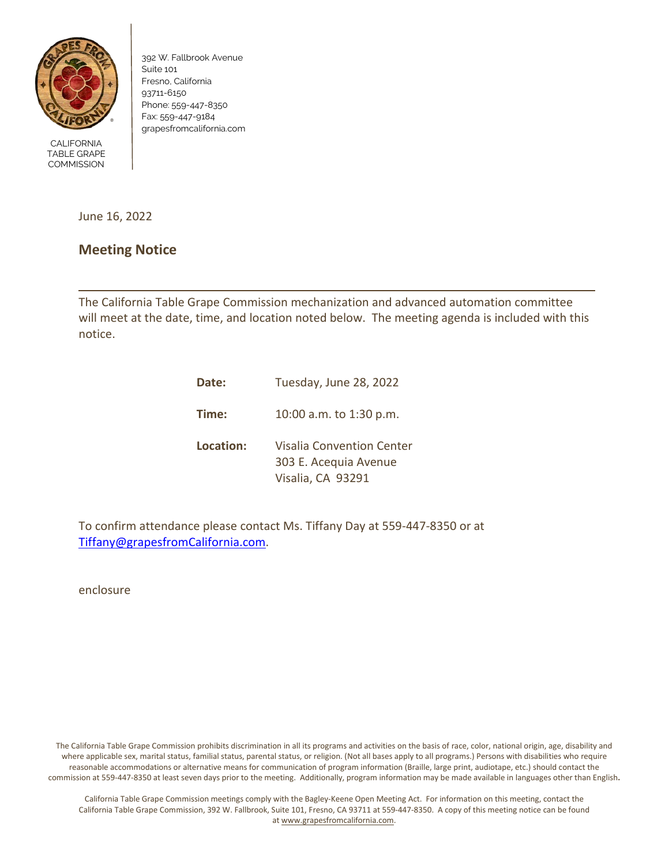

392 W. Fallbrook Avenue Suite 101 Fresno, California 93711-6150 Phone: 559-447-8350 Fax: 559-447-9184 grapesfromcalifornia.com

CALIFORNIA TABLE GRAPE **COMMISSION** 

June 16, 2022

## **Meeting Notice**

The California Table Grape Commission mechanization and advanced automation committee will meet at the date, time, and location noted below. The meeting agenda is included with this notice.

| Date:     | Tuesday, June 28, 2022                                                  |  |
|-----------|-------------------------------------------------------------------------|--|
| Time:     | 10:00 a.m. to 1:30 p.m.                                                 |  |
| Location: | Visalia Convention Center<br>303 E. Acequia Avenue<br>Visalia, CA 93291 |  |

To confirm attendance please contact Ms. Tiffany Day at 559-447-8350 or at [Tiffany@grapesfromCalifornia.com.](mailto:Tiffany@grapesfromCalifornia.com)

enclosure

The California Table Grape Commission prohibits discrimination in all its programs and activities on the basis of race, color, national origin, age, disability and where applicable sex, marital status, familial status, parental status, or religion. (Not all bases apply to all programs.) Persons with disabilities who require reasonable accommodations or alternative means for communication of program information (Braille, large print, audiotape, etc.) should contact the commission at 559-447-8350 at least seven days prior to the meeting. Additionally, program information may be made available in languages other than English**.**

California Table Grape Commission meetings comply with the Bagley-Keene Open Meeting Act. For information on this meeting, contact the California Table Grape Commission, 392 W. Fallbrook, Suite 101, Fresno, CA 93711 at 559-447-8350. A copy of this meeting notice can be found a[t www.grapesfromcalifornia.com.](https://www.grapesfromcalifornia.com/)